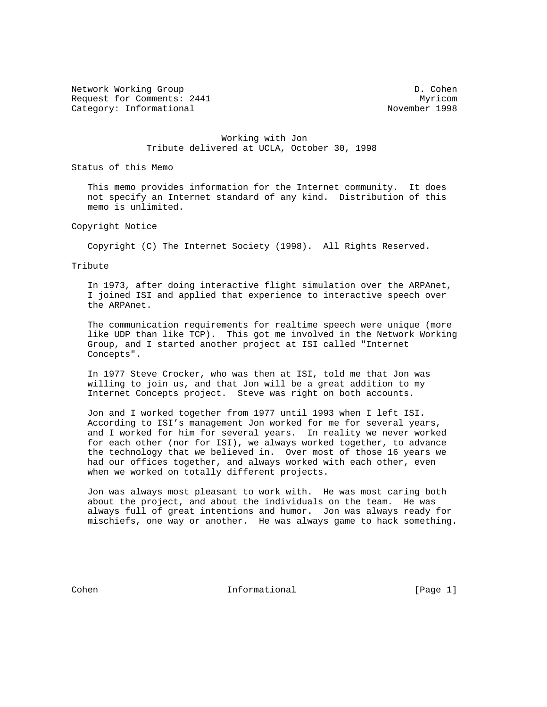Network Working Group Description of the United States of D. Cohen Request for Comments: 2441 Myricom Category: Informational 2008 and 2009 November 1998

## Working with Jon Tribute delivered at UCLA, October 30, 1998

Status of this Memo

 This memo provides information for the Internet community. It does not specify an Internet standard of any kind. Distribution of this memo is unlimited.

Copyright Notice

Copyright (C) The Internet Society (1998). All Rights Reserved.

Tribute

 In 1973, after doing interactive flight simulation over the ARPAnet, I joined ISI and applied that experience to interactive speech over the ARPAnet.

 The communication requirements for realtime speech were unique (more like UDP than like TCP). This got me involved in the Network Working Group, and I started another project at ISI called "Internet Concepts".

 In 1977 Steve Crocker, who was then at ISI, told me that Jon was willing to join us, and that Jon will be a great addition to my Internet Concepts project. Steve was right on both accounts.

 Jon and I worked together from 1977 until 1993 when I left ISI. According to ISI's management Jon worked for me for several years, and I worked for him for several years. In reality we never worked for each other (nor for ISI), we always worked together, to advance the technology that we believed in. Over most of those 16 years we had our offices together, and always worked with each other, even when we worked on totally different projects.

 Jon was always most pleasant to work with. He was most caring both about the project, and about the individuals on the team. He was always full of great intentions and humor. Jon was always ready for mischiefs, one way or another. He was always game to hack something.

Cohen **Informational** Informational [Page 1]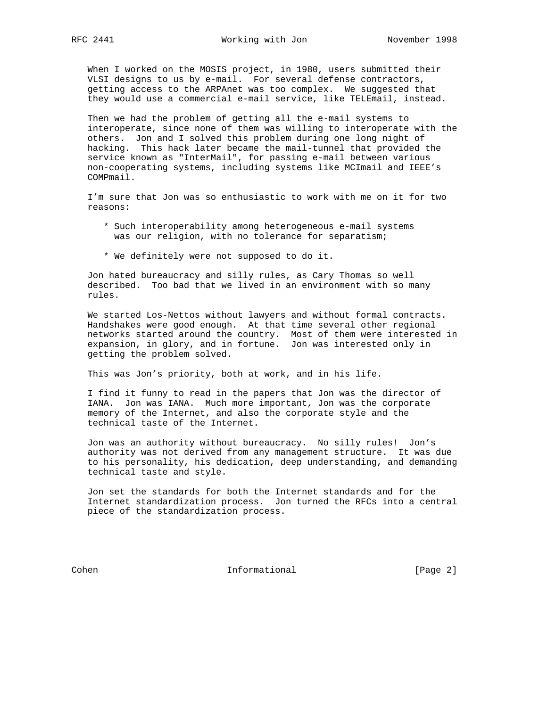When I worked on the MOSIS project, in 1980, users submitted their VLSI designs to us by e-mail. For several defense contractors, getting access to the ARPAnet was too complex. We suggested that they would use a commercial e-mail service, like TELEmail, instead.

 Then we had the problem of getting all the e-mail systems to interoperate, since none of them was willing to interoperate with the others. Jon and I solved this problem during one long night of hacking. This hack later became the mail-tunnel that provided the service known as "InterMail", for passing e-mail between various non-cooperating systems, including systems like MCImail and IEEE's COMPmail.

 I'm sure that Jon was so enthusiastic to work with me on it for two reasons:

- \* Such interoperability among heterogeneous e-mail systems was our religion, with no tolerance for separatism;
- \* We definitely were not supposed to do it.

 Jon hated bureaucracy and silly rules, as Cary Thomas so well described. Too bad that we lived in an environment with so many rules.

 We started Los-Nettos without lawyers and without formal contracts. Handshakes were good enough. At that time several other regional networks started around the country. Most of them were interested in expansion, in glory, and in fortune. Jon was interested only in getting the problem solved.

This was Jon's priority, both at work, and in his life.

 I find it funny to read in the papers that Jon was the director of IANA. Jon was IANA. Much more important, Jon was the corporate memory of the Internet, and also the corporate style and the technical taste of the Internet.

 Jon was an authority without bureaucracy. No silly rules! Jon's authority was not derived from any management structure. It was due to his personality, his dedication, deep understanding, and demanding technical taste and style.

 Jon set the standards for both the Internet standards and for the Internet standardization process. Jon turned the RFCs into a central piece of the standardization process.

Cohen Informational [Page 2]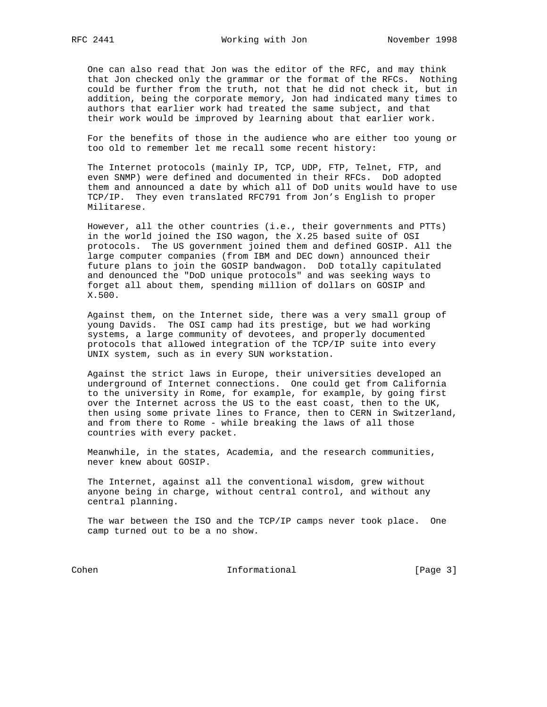One can also read that Jon was the editor of the RFC, and may think that Jon checked only the grammar or the format of the RFCs. Nothing could be further from the truth, not that he did not check it, but in addition, being the corporate memory, Jon had indicated many times to authors that earlier work had treated the same subject, and that their work would be improved by learning about that earlier work.

 For the benefits of those in the audience who are either too young or too old to remember let me recall some recent history:

 The Internet protocols (mainly IP, TCP, UDP, FTP, Telnet, FTP, and even SNMP) were defined and documented in their RFCs. DoD adopted them and announced a date by which all of DoD units would have to use TCP/IP. They even translated RFC791 from Jon's English to proper Militarese.

 However, all the other countries (i.e., their governments and PTTs) in the world joined the ISO wagon, the X.25 based suite of OSI protocols. The US government joined them and defined GOSIP. All the large computer companies (from IBM and DEC down) announced their future plans to join the GOSIP bandwagon. DoD totally capitulated and denounced the "DoD unique protocols" and was seeking ways to forget all about them, spending million of dollars on GOSIP and X.500.

 Against them, on the Internet side, there was a very small group of young Davids. The OSI camp had its prestige, but we had working systems, a large community of devotees, and properly documented protocols that allowed integration of the TCP/IP suite into every UNIX system, such as in every SUN workstation.

 Against the strict laws in Europe, their universities developed an underground of Internet connections. One could get from California to the university in Rome, for example, for example, by going first over the Internet across the US to the east coast, then to the UK, then using some private lines to France, then to CERN in Switzerland, and from there to Rome - while breaking the laws of all those countries with every packet.

 Meanwhile, in the states, Academia, and the research communities, never knew about GOSIP.

 The Internet, against all the conventional wisdom, grew without anyone being in charge, without central control, and without any central planning.

 The war between the ISO and the TCP/IP camps never took place. One camp turned out to be a no show.

Cohen Informational [Page 3]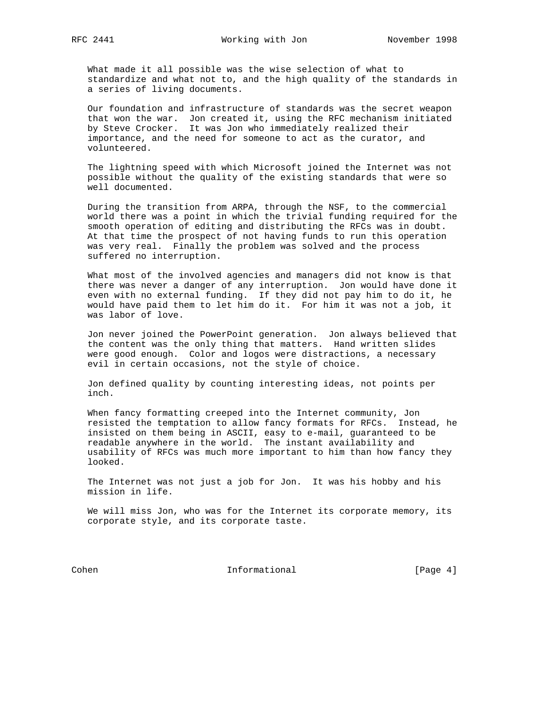What made it all possible was the wise selection of what to standardize and what not to, and the high quality of the standards in a series of living documents.

 Our foundation and infrastructure of standards was the secret weapon that won the war. Jon created it, using the RFC mechanism initiated by Steve Crocker. It was Jon who immediately realized their importance, and the need for someone to act as the curator, and volunteered.

 The lightning speed with which Microsoft joined the Internet was not possible without the quality of the existing standards that were so well documented.

 During the transition from ARPA, through the NSF, to the commercial world there was a point in which the trivial funding required for the smooth operation of editing and distributing the RFCs was in doubt. At that time the prospect of not having funds to run this operation was very real. Finally the problem was solved and the process suffered no interruption.

 What most of the involved agencies and managers did not know is that there was never a danger of any interruption. Jon would have done it even with no external funding. If they did not pay him to do it, he would have paid them to let him do it. For him it was not a job, it was labor of love.

 Jon never joined the PowerPoint generation. Jon always believed that the content was the only thing that matters. Hand written slides were good enough. Color and logos were distractions, a necessary evil in certain occasions, not the style of choice.

 Jon defined quality by counting interesting ideas, not points per inch.

 When fancy formatting creeped into the Internet community, Jon resisted the temptation to allow fancy formats for RFCs. Instead, he insisted on them being in ASCII, easy to e-mail, guaranteed to be readable anywhere in the world. The instant availability and usability of RFCs was much more important to him than how fancy they looked.

 The Internet was not just a job for Jon. It was his hobby and his mission in life.

We will miss Jon, who was for the Internet its corporate memory, its corporate style, and its corporate taste.

Cohen Informational [Page 4]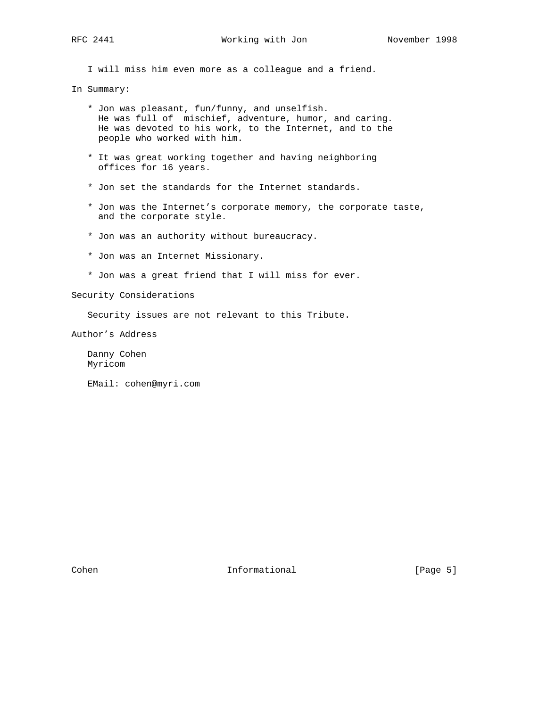I will miss him even more as a colleague and a friend.

In Summary:

- \* Jon was pleasant, fun/funny, and unselfish. He was full of mischief, adventure, humor, and caring. He was devoted to his work, to the Internet, and to the people who worked with him.
- \* It was great working together and having neighboring offices for 16 years.
- \* Jon set the standards for the Internet standards.
- \* Jon was the Internet's corporate memory, the corporate taste, and the corporate style.
- \* Jon was an authority without bureaucracy.
- \* Jon was an Internet Missionary.
- \* Jon was a great friend that I will miss for ever.

Security Considerations

Security issues are not relevant to this Tribute.

Author's Address

 Danny Cohen Myricom

EMail: cohen@myri.com

Cohen **Informational** Informational [Page 5]